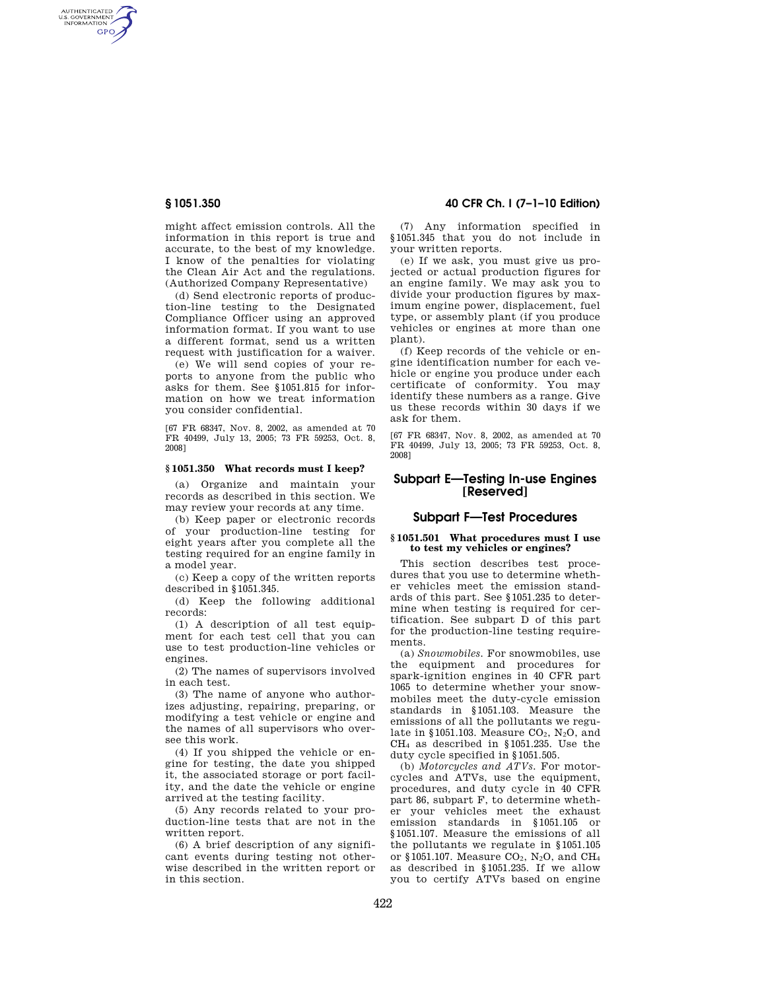AUTHENTICATED<br>U.S. GOVERNMENT<br>INFORMATION **GPO** 

> might affect emission controls. All the information in this report is true and accurate, to the best of my knowledge. I know of the penalties for violating the Clean Air Act and the regulations. (Authorized Company Representative)

> (d) Send electronic reports of production-line testing to the Designated Compliance Officer using an approved information format. If you want to use a different format, send us a written request with justification for a waiver.

> (e) We will send copies of your reports to anyone from the public who asks for them. See §1051.815 for information on how we treat information you consider confidential.

> [67 FR 68347, Nov. 8, 2002, as amended at 70 FR 40499, July 13, 2005; 73 FR 59253, Oct. 8, 2008]

### **§ 1051.350 What records must I keep?**

(a) Organize and maintain your records as described in this section. We may review your records at any time.

(b) Keep paper or electronic records of your production-line testing for eight years after you complete all the testing required for an engine family in a model year.

(c) Keep a copy of the written reports described in §1051.345.

(d) Keep the following additional records:

(1) A description of all test equipment for each test cell that you can use to test production-line vehicles or engines.

(2) The names of supervisors involved in each test.

(3) The name of anyone who authorizes adjusting, repairing, preparing, or modifying a test vehicle or engine and the names of all supervisors who oversee this work.

(4) If you shipped the vehicle or engine for testing, the date you shipped it, the associated storage or port facility, and the date the vehicle or engine arrived at the testing facility.

(5) Any records related to your production-line tests that are not in the written report.

(6) A brief description of any significant events during testing not otherwise described in the written report or in this section.

## **§ 1051.350 40 CFR Ch. I (7–1–10 Edition)**

(7) Any information specified in §1051.345 that you do not include in your written reports.

(e) If we ask, you must give us projected or actual production figures for an engine family. We may ask you to divide your production figures by maximum engine power, displacement, fuel type, or assembly plant (if you produce vehicles or engines at more than one plant).

(f) Keep records of the vehicle or engine identification number for each vehicle or engine you produce under each certificate of conformity. You may identify these numbers as a range. Give us these records within 30 days if we ask for them.

[67 FR 68347, Nov. 8, 2002, as amended at 70 FR 40499, July 13, 2005; 73 FR 59253, Oct. 8, 2008]

# **Subpart E—Testing In-use Engines [Reserved]**

# **Subpart F—Test Procedures**

### **§ 1051.501 What procedures must I use to test my vehicles or engines?**

This section describes test procedures that you use to determine whether vehicles meet the emission standards of this part. See §1051.235 to determine when testing is required for certification. See subpart D of this part for the production-line testing requirements.

(a) *Snowmobiles.* For snowmobiles, use the equipment and procedures for spark-ignition engines in 40 CFR part 1065 to determine whether your snowmobiles meet the duty-cycle emission standards in §1051.103. Measure the emissions of all the pollutants we regulate in §1051.103. Measure  $CO<sub>2</sub>$ , N<sub>2</sub>O, and CH<sup>4</sup> as described in §1051.235. Use the duty cycle specified in §1051.505.

(b) *Motorcycles and ATVs.* For motorcycles and ATVs, use the equipment, procedures, and duty cycle in 40 CFR part 86, subpart F, to determine whether your vehicles meet the exhaust emission standards in §1051.105 or §1051.107. Measure the emissions of all the pollutants we regulate in §1051.105 or §1051.107. Measure  $CO<sub>2</sub>$ , N<sub>2</sub>O, and CH<sub>4</sub> as described in §1051.235. If we allow you to certify ATVs based on engine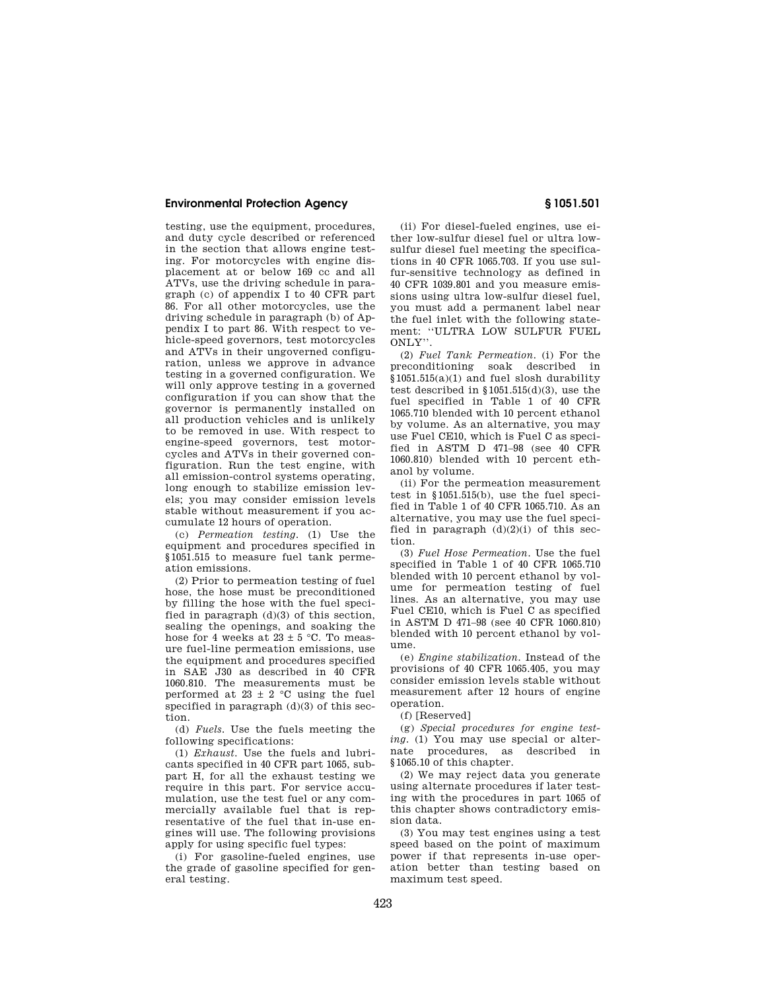## **Environmental Protection Agency § 1051.501**

testing, use the equipment, procedures, and duty cycle described or referenced in the section that allows engine testing. For motorcycles with engine displacement at or below 169 cc and all ATVs, use the driving schedule in paragraph (c) of appendix I to 40 CFR part 86. For all other motorcycles, use the driving schedule in paragraph (b) of Appendix I to part 86. With respect to vehicle-speed governors, test motorcycles and ATVs in their ungoverned configuration, unless we approve in advance testing in a governed configuration. We will only approve testing in a governed configuration if you can show that the governor is permanently installed on all production vehicles and is unlikely to be removed in use. With respect to engine-speed governors, test motorcycles and ATVs in their governed configuration. Run the test engine, with all emission-control systems operating, long enough to stabilize emission levels; you may consider emission levels stable without measurement if you accumulate 12 hours of operation.

(c) *Permeation testing.* (1) Use the equipment and procedures specified in §1051.515 to measure fuel tank permeation emissions.

(2) Prior to permeation testing of fuel hose, the hose must be preconditioned by filling the hose with the fuel specified in paragraph (d)(3) of this section, sealing the openings, and soaking the hose for 4 weeks at  $23 \pm 5$  °C. To measure fuel-line permeation emissions, use the equipment and procedures specified in SAE J30 as described in 40 CFR 1060.810. The measurements must be performed at  $23 \pm 2$  °C using the fuel specified in paragraph  $(d)(3)$  of this section.

(d) *Fuels.* Use the fuels meeting the following specifications:

(1) *Exhaust.* Use the fuels and lubricants specified in 40 CFR part 1065, subpart H, for all the exhaust testing we require in this part. For service accumulation, use the test fuel or any commercially available fuel that is representative of the fuel that in-use engines will use. The following provisions apply for using specific fuel types:

(i) For gasoline-fueled engines, use the grade of gasoline specified for general testing.

(ii) For diesel-fueled engines, use either low-sulfur diesel fuel or ultra lowsulfur diesel fuel meeting the specifications in 40 CFR 1065.703. If you use sulfur-sensitive technology as defined in 40 CFR 1039.801 and you measure emissions using ultra low-sulfur diesel fuel, you must add a permanent label near the fuel inlet with the following statement: ''ULTRA LOW SULFUR FUEL ONLY''.

(2) *Fuel Tank Permeation.* (i) For the preconditioning soak described in §1051.515(a)(1) and fuel slosh durability test described in  $$1051.515(d)(3)$ , use the fuel specified in Table 1 of 40 CFR 1065.710 blended with 10 percent ethanol by volume. As an alternative, you may use Fuel CE10, which is Fuel C as specified in ASTM D 471–98 (see 40 CFR 1060.810) blended with 10 percent ethanol by volume.

(ii) For the permeation measurement test in §1051.515(b), use the fuel specified in Table 1 of 40 CFR 1065.710. As an alternative, you may use the fuel specified in paragraph  $(d)(2)(i)$  of this section.

(3) *Fuel Hose Permeation.* Use the fuel specified in Table 1 of 40 CFR 1065.710 blended with 10 percent ethanol by volume for permeation testing of fuel lines. As an alternative, you may use Fuel CE10, which is Fuel C as specified in ASTM D 471–98 (see 40 CFR 1060.810) blended with 10 percent ethanol by volume.

(e) *Engine stabilization.* Instead of the provisions of 40 CFR 1065.405, you may consider emission levels stable without measurement after 12 hours of engine operation.

(f) [Reserved]

(g) *Special procedures for engine testing.* (1) You may use special or alternate procedures, as described in §1065.10 of this chapter.

(2) We may reject data you generate using alternate procedures if later testing with the procedures in part 1065 of this chapter shows contradictory emission data.

(3) You may test engines using a test speed based on the point of maximum power if that represents in-use operation better than testing based on maximum test speed.